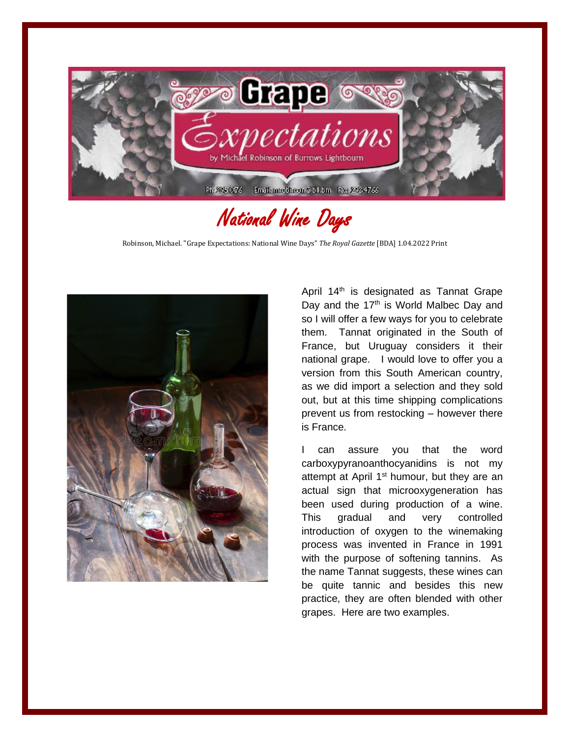

## National Wine Days

Robinson, Michael. "Grape Expectations: National Wine Days" *The Royal Gazette* [BDA] 1.04.2022 Print



April  $14<sup>th</sup>$  is designated as Tannat Grape Day and the 17<sup>th</sup> is World Malbec Day and so I will offer a few ways for you to celebrate them. Tannat originated in the South of France, but Uruguay considers it their national grape. I would love to offer you a version from this South American country, as we did import a selection and they sold out, but at this time shipping complications prevent us from restocking – however there is France.

I can assure you that the word carboxypyranoanthocyanidins is not my attempt at April 1<sup>st</sup> humour, but they are an actual sign that microoxygeneration has been used during production of a wine. This gradual and very controlled introduction of oxygen to the winemaking process was invented in France in 1991 with the purpose of softening tannins. As the name Tannat suggests, these wines can be quite tannic and besides this new practice, they are often blended with other grapes. Here are two examples.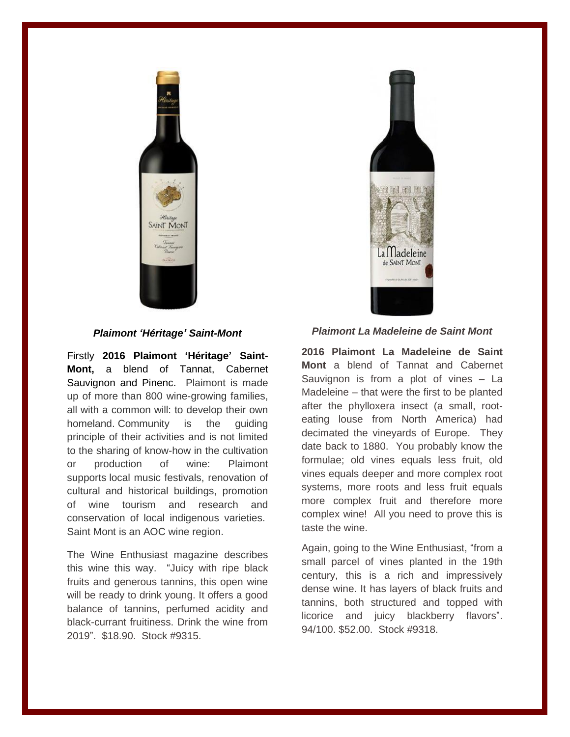

*Plaimont 'Héritage' Saint-Mont*

Firstly **2016 Plaimont 'Héritage' Saint-Mont,** a blend of Tannat, Cabernet Sauvignon and Pinenc. Plaimont is made up of more than 800 wine-growing families, all with a common will: to develop their own homeland. Community is the guiding principle of their activities and is not limited to the sharing of know-how in the cultivation or production of wine: Plaimont supports local music festivals, renovation of cultural and historical buildings, promotion of wine tourism and research and conservation of local indigenous varieties. Saint Mont is an AOC wine region.

The Wine Enthusiast magazine describes this wine this way. "Juicy with ripe black fruits and generous tannins, this open wine will be ready to drink young. It offers a good balance of tannins, perfumed acidity and black-currant fruitiness. Drink the wine from 2019". \$18.90. Stock #9315.



## *Plaimont La Madeleine de Saint Mont*

**2016 Plaimont La Madeleine de Saint Mont** a blend of Tannat and Cabernet Sauvignon is from a plot of vines – La Madeleine – that were the first to be planted after the phylloxera insect (a small, rooteating louse from North America) had decimated the vineyards of Europe. They date back to 1880. You probably know the formulae; old vines equals less fruit, old vines equals deeper and more complex root systems, more roots and less fruit equals more complex fruit and therefore more complex wine! All you need to prove this is taste the wine.

Again, going to the Wine Enthusiast, "from a small parcel of vines planted in the 19th century, this is a rich and impressively dense wine. It has layers of black fruits and tannins, both structured and topped with licorice and juicy blackberry flavors". 94/100. \$52.00. Stock #9318.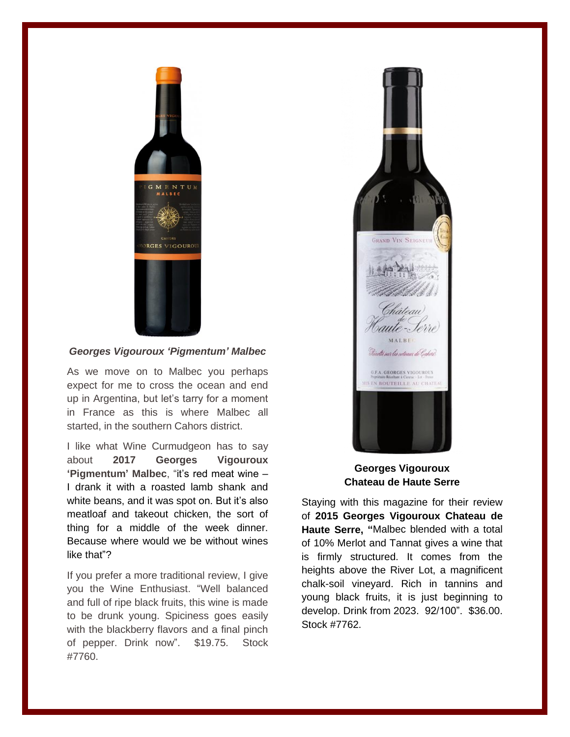

## *Georges Vigouroux 'Pigmentum' Malbec*

As we move on to Malbec you perhaps expect for me to cross the ocean and end up in Argentina, but let's tarry for a moment in France as this is where Malbec all started, in the southern Cahors district.

I like what Wine Curmudgeon has to say about **2017 Georges Vigouroux 'Pigmentum' Malbec**, "it's red meat wine – I drank it with a roasted lamb shank and white beans, and it was spot on. But it's also meatloaf and takeout chicken, the sort of thing for a middle of the week dinner. Because where would we be without wines like that"?

If you prefer a more traditional review, I give you the Wine Enthusiast. "Well balanced and full of ripe black fruits, this wine is made to be drunk young. Spiciness goes easily with the blackberry flavors and a final pinch of pepper. Drink now". \$19.75. Stock #7760.



## **Georges Vigouroux Chateau de Haute Serre**

Staying with this magazine for their review of **2015 Georges Vigouroux Chateau de Haute Serre, "**Malbec blended with a total of 10% Merlot and Tannat gives a wine that is firmly structured. It comes from the heights above the River Lot, a magnificent chalk-soil vineyard. Rich in tannins and young black fruits, it is just beginning to develop. Drink from 2023. 92/100". \$36.00. Stock #7762.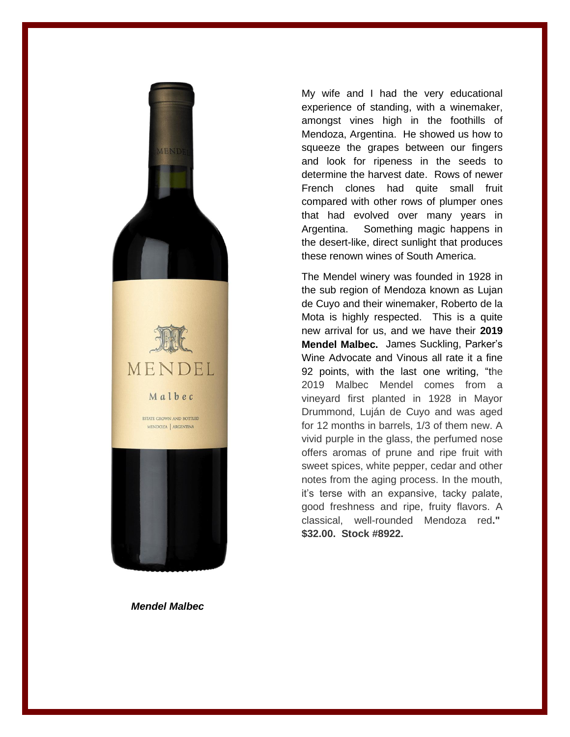

My wife and I had the very educational experience of standing, with a winemaker, amongst vines high in the foothills of Mendoza, Argentina. He showed us how to squeeze the grapes between our fingers and look for ripeness in the seeds to determine the harvest date. Rows of newer French clones had quite small fruit compared with other rows of plumper ones that had evolved over many years in Argentina. Something magic happens in the desert-like, direct sunlight that produces these renown wines of South America.

The Mendel winery was founded in 1928 in the sub region of Mendoza known as Lujan de Cuyo and their winemaker, Roberto de la Mota is highly respected. This is a quite new arrival for us, and we have their **2019 Mendel Malbec.** James Suckling, Parker's Wine Advocate and Vinous all rate it a fine 92 points, with the last one writing, "the 2019 Malbec Mendel comes from a vineyard first planted in 1928 in Mayor Drummond, Luján de Cuyo and was aged for 12 months in barrels, 1/3 of them new. A vivid purple in the glass, the perfumed nose offers aromas of prune and ripe fruit with sweet spices, white pepper, cedar and other notes from the aging process. In the mouth, it's terse with an expansive, tacky palate, good freshness and ripe, fruity flavors. A classical, well-rounded Mendoza red**." \$32.00. Stock #8922.**

*Mendel Malbec*